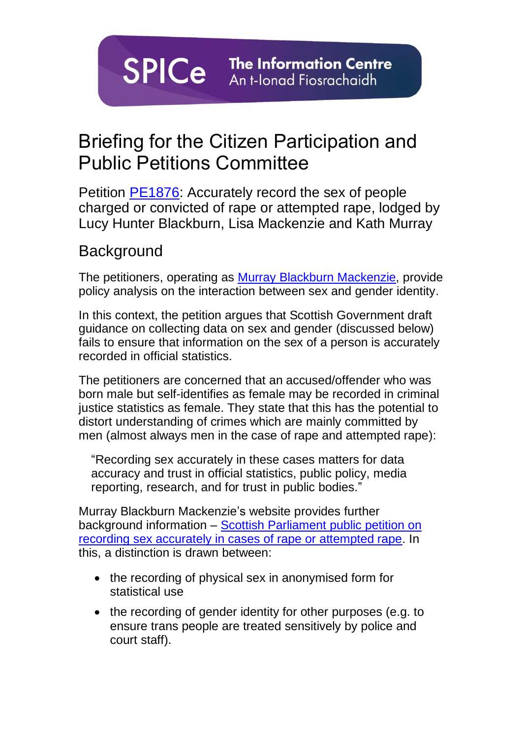**SPICe** The Information Centre An t-Ionad Fiosrachaidh

# Briefing for the Citizen Participation and Public Petitions Committee

Petition [PE1876:](https://petitions.parliament.scot/petitions/PE1876) Accurately record the sex of people charged or convicted of rape or attempted rape, lodged by Lucy Hunter Blackburn, Lisa Mackenzie and Kath Murray

### **Background**

The petitioners, operating as Murray Blackburn [Mackenzie,](https://murrayblackburnmackenzie.org/) provide policy analysis on the interaction between sex and gender identity.

In this context, the petition argues that Scottish Government draft guidance on collecting data on sex and gender (discussed below) fails to ensure that information on the sex of a person is accurately recorded in official statistics.

The petitioners are concerned that an accused/offender who was born male but self-identifies as female may be recorded in criminal justice statistics as female. They state that this has the potential to distort understanding of crimes which are mainly committed by men (almost always men in the case of rape and attempted rape):

"Recording sex accurately in these cases matters for data accuracy and trust in official statistics, public policy, media reporting, research, and for trust in public bodies."

Murray Blackburn Mackenzie's website provides further background information – [Scottish Parliament public petition on](https://murrayblackburnmackenzie.org/scottish-parliament-public-petition-on-recording-sex-accurately-in-cases-of-rape-or-attempted-rape/)  [recording sex accurately in cases of rape or attempted rape.](https://murrayblackburnmackenzie.org/scottish-parliament-public-petition-on-recording-sex-accurately-in-cases-of-rape-or-attempted-rape/) In this, a distinction is drawn between:

- the recording of physical sex in anonymised form for statistical use
- the recording of gender identity for other purposes (e.g. to ensure trans people are treated sensitively by police and court staff).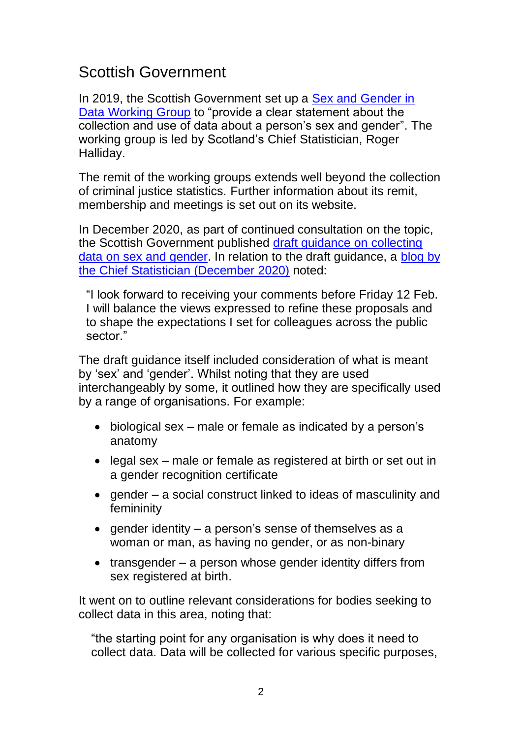## Scottish Government

In 2019, the Scottish Government set up a **Sex and Gender in** [Data Working Group](https://www.gov.scot/groups/sex-and-gender-in-data-working-group/) to "provide a clear statement about the collection and use of data about a person's sex and gender". The working group is led by Scotland's Chief Statistician, Roger Halliday.

The remit of the working groups extends well beyond the collection of criminal justice statistics. Further information about its remit, membership and meetings is set out on its website.

In December 2020, as part of continued consultation on the topic, the Scottish Government published [draft guidance on collecting](https://www.gov.scot/publications/sex-and-gender-in-data-working-group---collecting-data-on-sex-and-gender-draft-guidance-for-feedback/)  [data on sex and gender.](https://www.gov.scot/publications/sex-and-gender-in-data-working-group---collecting-data-on-sex-and-gender-draft-guidance-for-feedback/) In relation to the draft guidance, a [blog by](https://blogs.gov.scot/statistics/2020/12/10/working-group-on-sex-and-gender-in-data-december-update/)  [the Chief Statistician \(December 2020\)](https://blogs.gov.scot/statistics/2020/12/10/working-group-on-sex-and-gender-in-data-december-update/) noted:

"I look forward to receiving your comments before Friday 12 Feb. I will balance the views expressed to refine these proposals and to shape the expectations I set for colleagues across the public sector."

The draft guidance itself included consideration of what is meant by 'sex' and 'gender'. Whilst noting that they are used interchangeably by some, it outlined how they are specifically used by a range of organisations. For example:

- biological sex male or female as indicated by a person's anatomy
- legal sex male or female as registered at birth or set out in a gender recognition certificate
- gender a social construct linked to ideas of masculinity and femininity
- gender identity a person's sense of themselves as a woman or man, as having no gender, or as non-binary
- transgender a person whose gender identity differs from sex registered at birth.

It went on to outline relevant considerations for bodies seeking to collect data in this area, noting that:

"the starting point for any organisation is why does it need to collect data. Data will be collected for various specific purposes,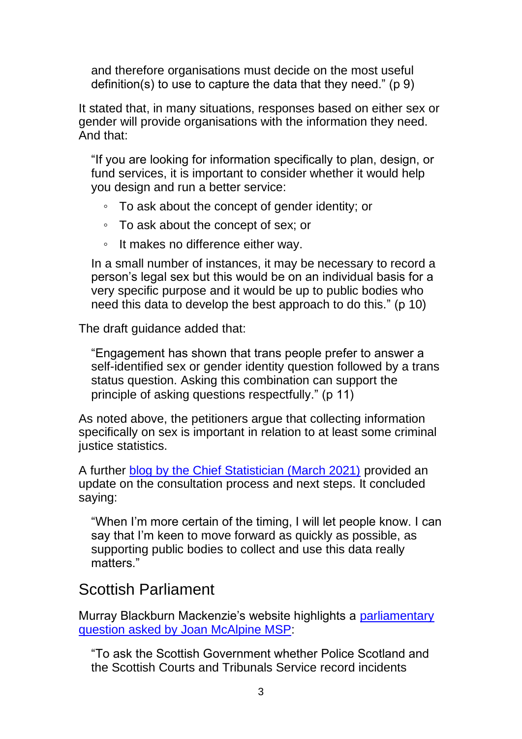and therefore organisations must decide on the most useful definition(s) to use to capture the data that they need." (p 9)

It stated that, in many situations, responses based on either sex or gender will provide organisations with the information they need. And that:

"If you are looking for information specifically to plan, design, or fund services, it is important to consider whether it would help you design and run a better service:

- To ask about the concept of gender identity; or
- To ask about the concept of sex; or
- It makes no difference either way.

In a small number of instances, it may be necessary to record a person's legal sex but this would be on an individual basis for a very specific purpose and it would be up to public bodies who need this data to develop the best approach to do this." (p 10)

The draft guidance added that:

"Engagement has shown that trans people prefer to answer a self-identified sex or gender identity question followed by a trans status question. Asking this combination can support the principle of asking questions respectfully." (p 11)

As noted above, the petitioners argue that collecting information specifically on sex is important in relation to at least some criminal justice statistics.

A further [blog by the Chief Statistician \(March 2021\)](https://blogs.gov.scot/statistics/2021/03/23/working-group-on-sex-and-gender-in-data-march-update-2/) provided an update on the consultation process and next steps. It concluded saying:

"When I'm more certain of the timing, I will let people know. I can say that I'm keen to move forward as quickly as possible, as supporting public bodies to collect and use this data really matters."

#### Scottish Parliament

Murray Blackburn Mackenzie's website highlights a [parliamentary](https://www.theyworkforyou.com/sp/?id=2019-03-13.16.0#g16.1)  [question asked by Joan McAlpine MSP:](https://www.theyworkforyou.com/sp/?id=2019-03-13.16.0#g16.1)

"To ask the Scottish Government whether Police Scotland and the Scottish Courts and Tribunals Service record incidents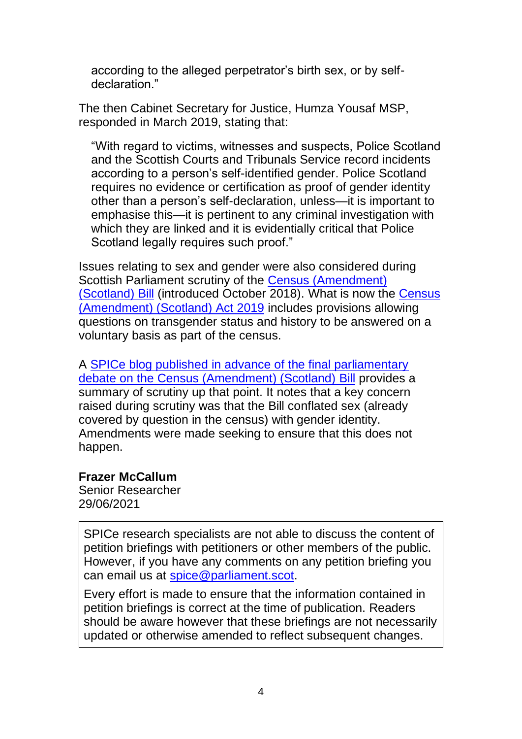according to the alleged perpetrator's birth sex, or by selfdeclaration."

The then Cabinet Secretary for Justice, Humza Yousaf MSP, responded in March 2019, stating that:

"With regard to victims, witnesses and suspects, Police Scotland and the Scottish Courts and Tribunals Service record incidents according to a person's self-identified gender. Police Scotland requires no evidence or certification as proof of gender identity other than a person's self-declaration, unless—it is important to emphasise this—it is pertinent to any criminal investigation with which they are linked and it is evidentially critical that Police Scotland legally requires such proof."

Issues relating to sex and gender were also considered during Scottish Parliament scrutiny of the [Census \(Amendment\)](https://www.parliament.scot/bills-and-laws/bills/census-amendment-scotland-bill)  [\(Scotland\) Bill](https://www.parliament.scot/bills-and-laws/bills/census-amendment-scotland-bill) (introduced October 2018). What is now the [Census](https://www.legislation.gov.uk/asp/2019/12)  [\(Amendment\) \(Scotland\) Act 2019](https://www.legislation.gov.uk/asp/2019/12) includes provisions allowing questions on transgender status and history to be answered on a voluntary basis as part of the census.

A [SPICe blog published in advance of the final parliamentary](https://spice-spotlight.scot/2019/06/07/the-census-bill-whats-happened-in-the-parliament-so-far/)  [debate on the Census \(Amendment\) \(Scotland\) Bill](https://spice-spotlight.scot/2019/06/07/the-census-bill-whats-happened-in-the-parliament-so-far/) provides a summary of scrutiny up that point. It notes that a key concern raised during scrutiny was that the Bill conflated sex (already covered by question in the census) with gender identity. Amendments were made seeking to ensure that this does not happen.

#### **Frazer McCallum**

Senior Researcher 29/06/2021

SPICe research specialists are not able to discuss the content of petition briefings with petitioners or other members of the public. However, if you have any comments on any petition briefing you can email us at [spice@parliament.scot.](mailto:spice@parliament.scot)

Every effort is made to ensure that the information contained in petition briefings is correct at the time of publication. Readers should be aware however that these briefings are not necessarily updated or otherwise amended to reflect subsequent changes.